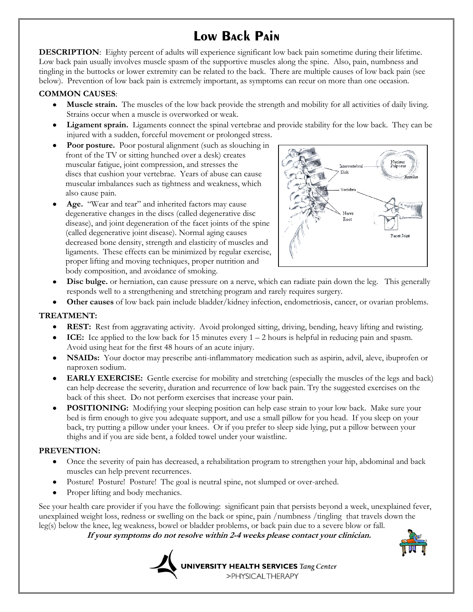# **Low Back Pain**

**DESCRIPTION**: Eighty percent of adults will experience significant low back pain sometime during their lifetime. Low back pain usually involves muscle spasm of the supportive muscles along the spine. Also, pain, numbness and tingling in the buttocks or lower extremity can be related to the back. There are multiple causes of low back pain (see below). Prevention of low back pain is extremely important, as symptoms can recur on more than one occasion.

### **COMMON CAUSES**:

- **Muscle strain.** The muscles of the low back provide the strength and mobility for all activities of daily living. Strains occur when a muscle is overworked or weak.
- **Ligament sprain.** Ligaments connect the spinal vertebrae and provide stability for the low back. They can be injured with a sudden, forceful movement or prolonged stress.
- Poor posture. Poor postural alignment (such as slouching in front of the TV or sitting hunched over a desk) creates muscular fatigue, joint compression, and stresses the discs that cushion your vertebrae. Years of abuse can cause muscular imbalances such as tightness and weakness, which also cause pain.
- **Age.** "Wear and tear" and inherited factors may cause degenerative changes in the discs (called degenerative disc disease), and joint degeneration of the facet joints of the spine (called degenerative joint disease). Normal aging causes decreased bone density, strength and elasticity of muscles and ligaments. These effects can be minimized by regular exercise, proper lifting and moving techniques, proper nutrition and body composition, and avoidance of smoking.



- **Disc bulge.** or herniation, can cause pressure on a nerve, which can radiate pain down the leg. This generally responds well to a strengthening and stretching program and rarely requires surgery.
- **Other causes** of low back pain include bladder/kidney infection, endometriosis, cancer, or ovarian problems.

## **TREATMENT:**

- **REST:** Rest from aggravating activity. Avoid prolonged sitting, driving, bending, heavy lifting and twisting.
- **ICE:** Ice applied to the low back for 15 minutes every 1 2 hours is helpful in reducing pain and spasm. Avoid using heat for the first 48 hours of an acute injury.
- **NSAIDs:** Your doctor may prescribe anti-inflammatory medication such as aspirin, advil, aleve, ibuprofen or naproxen sodium.
- **EARLY EXERCISE:** Gentle exercise for mobility and stretching (especially the muscles of the legs and back) can help decrease the severity, duration and recurrence of low back pain. Try the suggested exercises on the back of this sheet. Do not perform exercises that increase your pain.
- **POSITIONING:** Modifying your sleeping position can help ease strain to your low back. Make sure your bed is firm enough to give you adequate support, and use a small pillow for you head. If you sleep on your back, try putting a pillow under your knees. Or if you prefer to sleep side lying, put a pillow between your thighs and if you are side bent, a folded towel under your waistline.

#### **PREVENTION:**

- Once the severity of pain has decreased, a rehabilitation program to strengthen your hip, abdominal and back  $\bullet$ muscles can help prevent recurrences.
- Posture! Posture! Posture! The goal is neutral spine, not slumped or over-arched.
- Proper lifting and body mechanics.

See your health care provider if you have the following: significant pain that persists beyond a week, unexplained fever, unexplained weight loss, redness or swelling on the back or spine, pain /numbness /tingling that travels down the leg(s) below the knee, leg weakness, bowel or bladder problems, or back pain due to a severe blow or fall.

 **If your symptoms do not resolve within 2-4 weeks please contact your clinician.**